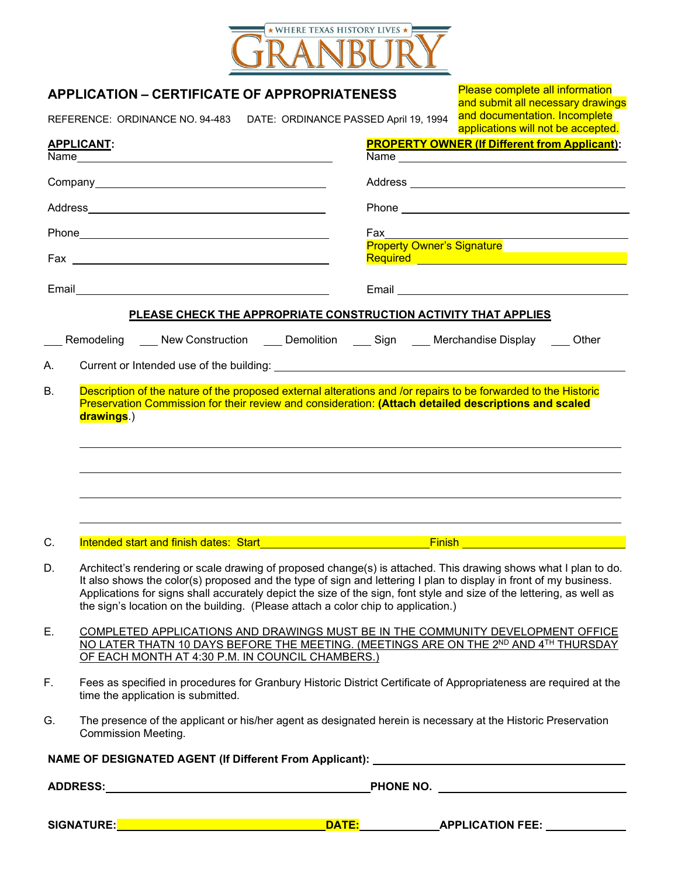

|    | <b>APPLICATION – CERTIFICATE OF APPROPRIATENESS</b>                                                                                                                                                                                                                                                                                                                                                                                                |                                                                        |  | Please complete all information<br>and submit all necessary drawings           |  |
|----|----------------------------------------------------------------------------------------------------------------------------------------------------------------------------------------------------------------------------------------------------------------------------------------------------------------------------------------------------------------------------------------------------------------------------------------------------|------------------------------------------------------------------------|--|--------------------------------------------------------------------------------|--|
|    |                                                                                                                                                                                                                                                                                                                                                                                                                                                    | REFERENCE: ORDINANCE NO. 94-483  DATE: ORDINANCE PASSED April 19, 1994 |  | and documentation. Incomplete<br>applications will not be accepted.            |  |
|    | <b>APPLICANT:</b>                                                                                                                                                                                                                                                                                                                                                                                                                                  |                                                                        |  | <b>PROPERTY OWNER (If Different from Applicant):</b>                           |  |
|    |                                                                                                                                                                                                                                                                                                                                                                                                                                                    |                                                                        |  |                                                                                |  |
|    |                                                                                                                                                                                                                                                                                                                                                                                                                                                    |                                                                        |  |                                                                                |  |
|    |                                                                                                                                                                                                                                                                                                                                                                                                                                                    |                                                                        |  |                                                                                |  |
|    |                                                                                                                                                                                                                                                                                                                                                                                                                                                    |                                                                        |  |                                                                                |  |
|    |                                                                                                                                                                                                                                                                                                                                                                                                                                                    |                                                                        |  | Property Owner's Signature<br>Required <u>Constitution of the Constitution</u> |  |
|    |                                                                                                                                                                                                                                                                                                                                                                                                                                                    |                                                                        |  |                                                                                |  |
|    |                                                                                                                                                                                                                                                                                                                                                                                                                                                    | PLEASE CHECK THE APPROPRIATE CONSTRUCTION ACTIVITY THAT APPLIES        |  |                                                                                |  |
|    |                                                                                                                                                                                                                                                                                                                                                                                                                                                    |                                                                        |  | Remodeling New Construction Demolition Sign Merchandise Display Other          |  |
| А. |                                                                                                                                                                                                                                                                                                                                                                                                                                                    |                                                                        |  |                                                                                |  |
|    |                                                                                                                                                                                                                                                                                                                                                                                                                                                    |                                                                        |  |                                                                                |  |
| C. |                                                                                                                                                                                                                                                                                                                                                                                                                                                    |                                                                        |  |                                                                                |  |
| D. | Architect's rendering or scale drawing of proposed change(s) is attached. This drawing shows what I plan to do.<br>It also shows the color(s) proposed and the type of sign and lettering I plan to display in front of my business.<br>Applications for signs shall accurately depict the size of the sign, font style and size of the lettering, as well as<br>the sign's location on the building. (Please attach a color chip to application.) |                                                                        |  |                                                                                |  |
| Ε. | COMPLETED APPLICATIONS AND DRAWINGS MUST BE IN THE COMMUNITY DEVELOPMENT OFFICE<br>NO LATER THATN 10 DAYS BEFORE THE MEETING. (MEETINGS ARE ON THE 2ND AND 4TH THURSDAY<br>OF EACH MONTH AT 4:30 P.M. IN COUNCIL CHAMBERS.)                                                                                                                                                                                                                        |                                                                        |  |                                                                                |  |
| F. | Fees as specified in procedures for Granbury Historic District Certificate of Appropriateness are required at the<br>time the application is submitted.                                                                                                                                                                                                                                                                                            |                                                                        |  |                                                                                |  |
| G. | The presence of the applicant or his/her agent as designated herein is necessary at the Historic Preservation<br><b>Commission Meeting.</b>                                                                                                                                                                                                                                                                                                        |                                                                        |  |                                                                                |  |
|    |                                                                                                                                                                                                                                                                                                                                                                                                                                                    |                                                                        |  |                                                                                |  |
|    |                                                                                                                                                                                                                                                                                                                                                                                                                                                    |                                                                        |  |                                                                                |  |
|    |                                                                                                                                                                                                                                                                                                                                                                                                                                                    |                                                                        |  |                                                                                |  |
|    |                                                                                                                                                                                                                                                                                                                                                                                                                                                    |                                                                        |  |                                                                                |  |